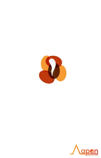

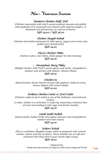# *N***on –** *V***egetarian** *S***tarters**

### *Tandoori Chicken Half/ Full*

*(Chicken marinated with chef's secret tandoori masala and grilled with perfection It is seasoned and colored with cayenne pepper, or Kashmiri red chili powder as well as turmeric)*

#### *SGD 24.00 / SGD 36.00*

#### *Chicken Tangdi Kebab*

*(Chicken drumstick marinated in mild spices, yogurt and cream and grilled over charcoal fire) SGD 24.00*

#### *Classic Chicken Tikka*

*(chicken cubes, red chilies, black pepper & mint chutney) SGD 24.00*

#### *Noorjahani Murg Tikka*

*(Stuffed chicken with Chef's secret spices and herbs, chargrilled in tandoor and served with labneh, Cilantro Raita) SGD 28.00*

## *Chicken 65*

*(fried boneless diced chicken tossed with yoghurt; chilies & curry leaves topped with rocket salad)*

#### *SGD 20.00*

#### *Kolkata Chicken Cutlet or Fowl Cutlet*

*(Chicken cutlet (or fowl cutlet) is one of the Kolkata's most beloved snacks. A cutlet, similar to a schnitzel, is made by seasoning a thinned slice of meat and coating it with eggs and bread crumbs)*

### *SGD 24.00*

#### *Lamb Seekh Kabab*

*(minced lamb, Indian herbs and spices skewers and chargrilled in tandoor and mint sauce) SGD 24.00*

#### *Kakori Kebab*   $\overline{\Lambda}$

*(This is a delicious Mughlai recipe which is prepared with minced mutton, onions and lots of spices. These kebabs are so soft and succulent that they melt in your mouth right away)*

#### *SGD 28.00*

 $\Lambda$  Signature Dish Kindly note that all prices are subject to 10% service charge and 7% GST

∧<u>ap®n</u>